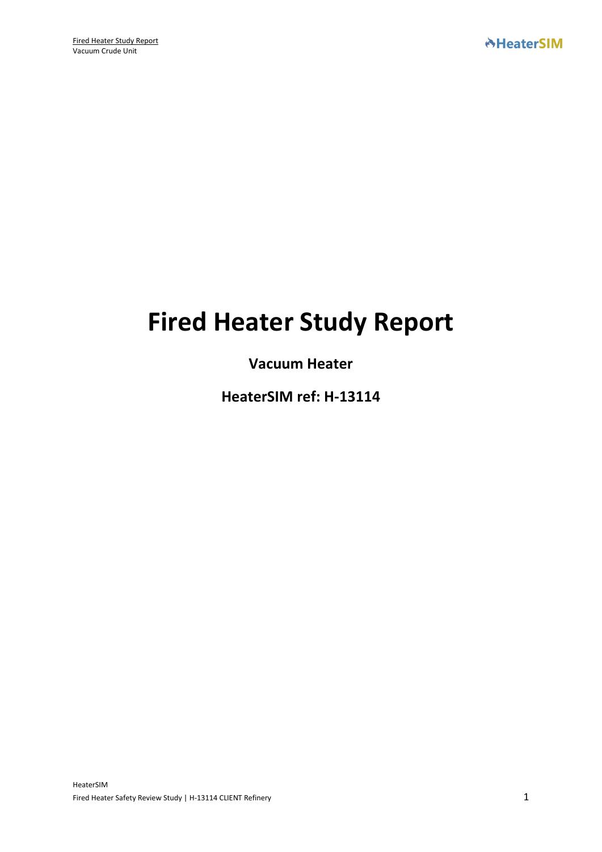# **Fired Heater Study Report**

# **Vacuum Heater**

**HeaterSIM ref: H-13114**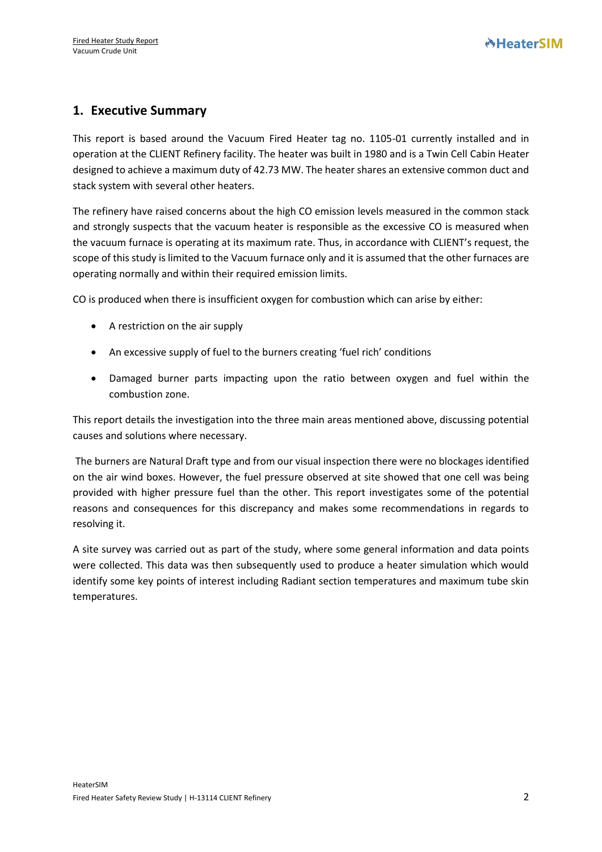# **1. Executive Summary**

This report is based around the Vacuum Fired Heater tag no. 1105-01 currently installed and in operation at the CLIENT Refinery facility. The heater was built in 1980 and is a Twin Cell Cabin Heater designed to achieve a maximum duty of 42.73 MW. The heater shares an extensive common duct and stack system with several other heaters.

The refinery have raised concerns about the high CO emission levels measured in the common stack and strongly suspects that the vacuum heater is responsible as the excessive CO is measured when the vacuum furnace is operating at its maximum rate. Thus, in accordance with CLIENT's request, the scope of this study is limited to the Vacuum furnace only and it is assumed that the other furnaces are operating normally and within their required emission limits.

CO is produced when there is insufficient oxygen for combustion which can arise by either:

- A restriction on the air supply
- An excessive supply of fuel to the burners creating 'fuel rich' conditions
- Damaged burner parts impacting upon the ratio between oxygen and fuel within the combustion zone.

This report details the investigation into the three main areas mentioned above, discussing potential causes and solutions where necessary.

The burners are Natural Draft type and from our visual inspection there were no blockages identified on the air wind boxes. However, the fuel pressure observed at site showed that one cell was being provided with higher pressure fuel than the other. This report investigates some of the potential reasons and consequences for this discrepancy and makes some recommendations in regards to resolving it.

A site survey was carried out as part of the study, where some general information and data points were collected. This data was then subsequently used to produce a heater simulation which would identify some key points of interest including Radiant section temperatures and maximum tube skin temperatures.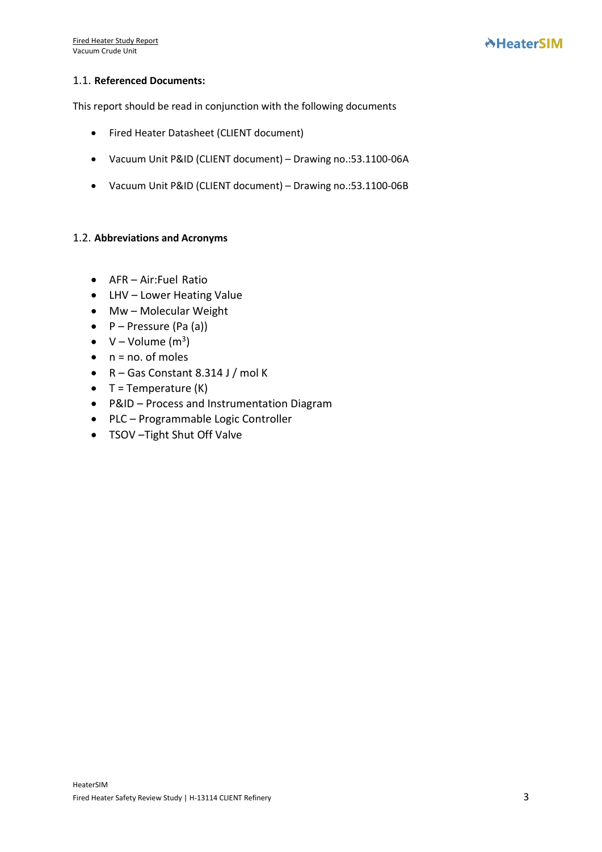#### 1.1. **Referenced Documents:**

This report should be read in conjunction with the following documents

- Fired Heater Datasheet (CLIENT document)
- Vacuum Unit P&ID (CLIENT document) Drawing no.:53.1100-06A
- Vacuum Unit P&ID (CLIENT document) Drawing no.:53.1100-06B

#### 1.2. **Abbreviations and Acronyms**

- AFR Air:Fuel Ratio
- LHV Lower Heating Value
- Mw Molecular Weight
- $\bullet$  P Pressure (Pa (a))
- $V Volume (m<sup>3</sup>)$
- $\bullet$  n = no. of moles
- R Gas Constant 8.314 J / mol K
- $\bullet$  T = Temperature (K)
- P&ID Process and Instrumentation Diagram
- PLC Programmable Logic Controller
- TSOV –Tight Shut Off Valve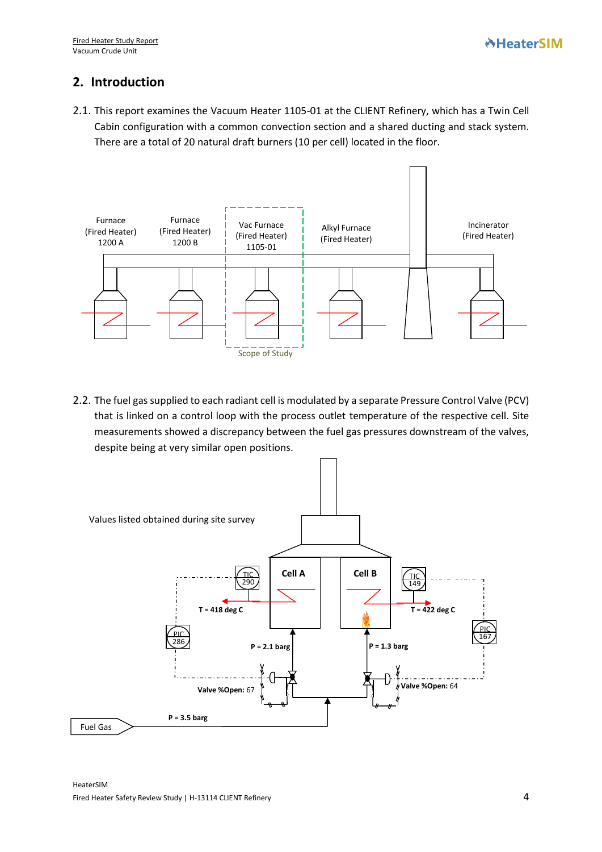# **2. Introduction**

2.1. This report examines the Vacuum Heater 1105-01 at the CLIENT Refinery, which has a Twin Cell Cabin configuration with a common convection section and a shared ducting and stack system. There are a total of 20 natural draft burners (10 per cell) located in the floor.



2.2. The fuel gas supplied to each radiant cell is modulated by a separate Pressure Control Valve (PCV) that is linked on a control loop with the process outlet temperature of the respective cell. Site measurements showed a discrepancy between the fuel gas pressures downstream of the valves, despite being at very similar open positions.

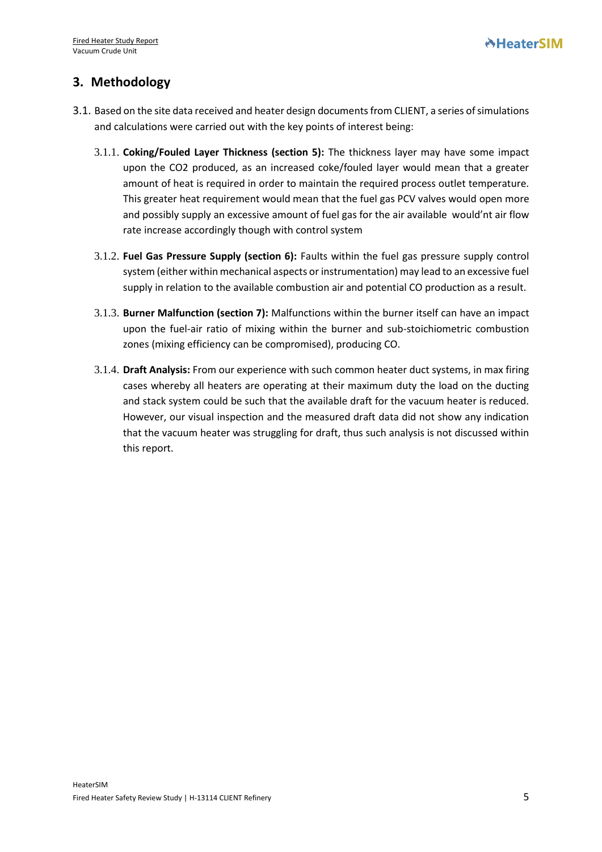# **3. Methodology**

- 3.1. Based on the site data received and heater design documents from CLIENT, a series of simulations and calculations were carried out with the key points of interest being:
	- 3.1.1. **Coking/Fouled Layer Thickness (section 5):** The thickness layer may have some impact upon the CO2 produced, as an increased coke/fouled layer would mean that a greater amount of heat is required in order to maintain the required process outlet temperature. This greater heat requirement would mean that the fuel gas PCV valves would open more and possibly supply an excessive amount of fuel gas for the air available would'nt air flow rate increase accordingly though with control system
	- 3.1.2. **Fuel Gas Pressure Supply (section 6):** Faults within the fuel gas pressure supply control system (either within mechanical aspects or instrumentation) may lead to an excessive fuel supply in relation to the available combustion air and potential CO production as a result.
	- 3.1.3. **Burner Malfunction (section 7):** Malfunctions within the burner itself can have an impact upon the fuel-air ratio of mixing within the burner and sub-stoichiometric combustion zones (mixing efficiency can be compromised), producing CO.
	- 3.1.4. **Draft Analysis:** From our experience with such common heater duct systems, in max firing cases whereby all heaters are operating at their maximum duty the load on the ducting and stack system could be such that the available draft for the vacuum heater is reduced. However, our visual inspection and the measured draft data did not show any indication that the vacuum heater was struggling for draft, thus such analysis is not discussed within this report.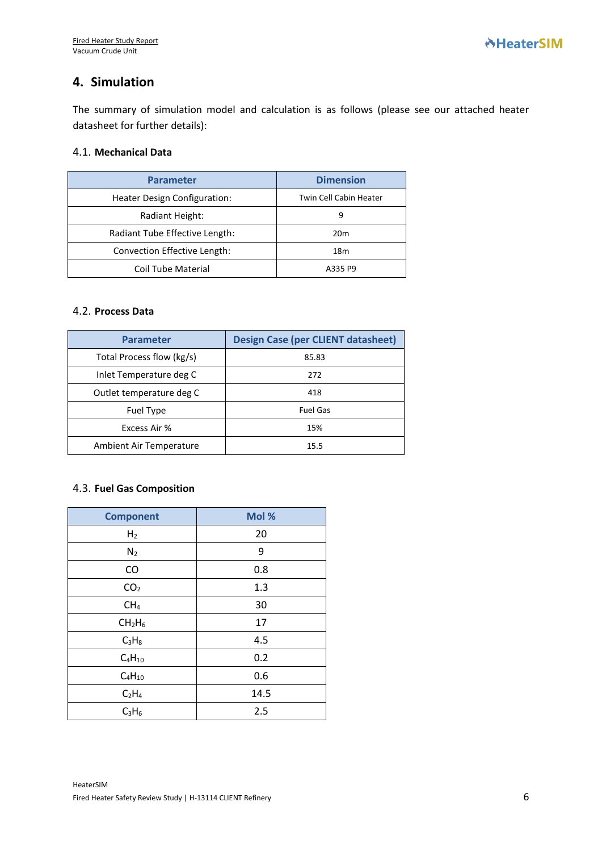# **4. Simulation**

The summary of simulation model and calculation is as follows (please see our attached heater datasheet for further details):

#### 4.1. **Mechanical Data**

| <b>Parameter</b>               | <b>Dimension</b>       |  |  |
|--------------------------------|------------------------|--|--|
| Heater Design Configuration:   | Twin Cell Cabin Heater |  |  |
| Radiant Height:                | 9                      |  |  |
| Radiant Tube Effective Length: | 20 <sub>m</sub>        |  |  |
| Convection Effective Length:   | 18 <sub>m</sub>        |  |  |
| <b>Coil Tube Material</b>      | A335 P9                |  |  |

#### 4.2. **Process Data**

| <b>Parameter</b>          | <b>Design Case (per CLIENT datasheet)</b> |  |
|---------------------------|-------------------------------------------|--|
| Total Process flow (kg/s) | 85.83                                     |  |
| Inlet Temperature deg C   | 272                                       |  |
| Outlet temperature deg C  | 418                                       |  |
| Fuel Type                 | <b>Fuel Gas</b>                           |  |
| Excess Air %              | 15%                                       |  |
| Ambient Air Temperature   | 15.5                                      |  |

#### 4.3. **Fuel Gas Composition**

| <b>Component</b>               | Mol % |  |
|--------------------------------|-------|--|
| H <sub>2</sub>                 | 20    |  |
| N <sub>2</sub>                 | 9     |  |
| CO                             | 0.8   |  |
| CO <sub>2</sub>                | 1.3   |  |
| CH <sub>4</sub>                | 30    |  |
| CH <sub>2</sub> H <sub>6</sub> | 17    |  |
| $C_3H_8$                       | 4.5   |  |
| $C_4H_{10}$                    | 0.2   |  |
| $C_4H_{10}$                    | 0.6   |  |
| C <sub>2</sub> H <sub>4</sub>  | 14.5  |  |
| $C_3H_6$                       | 2.5   |  |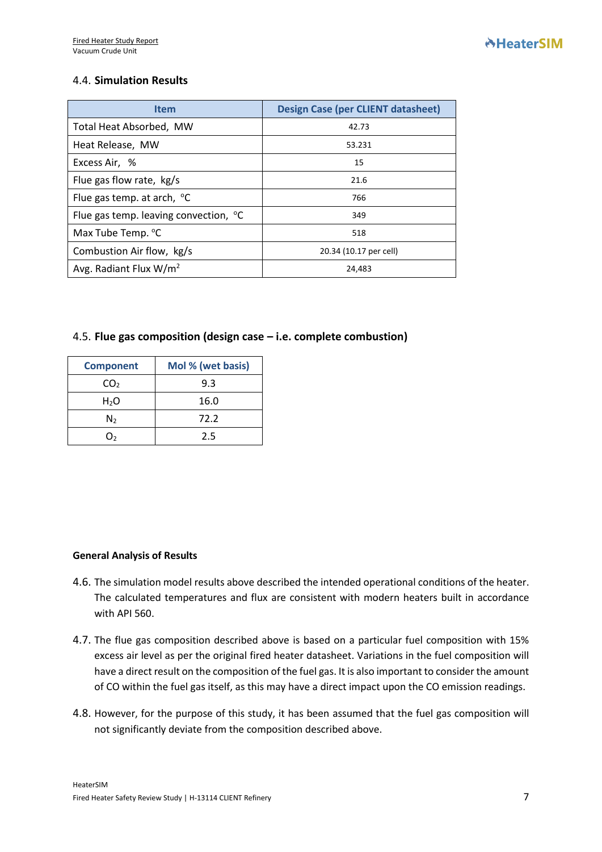## 4.4. **Simulation Results**

| <b>Item</b>                                       | <b>Design Case (per CLIENT datasheet)</b> |  |  |
|---------------------------------------------------|-------------------------------------------|--|--|
| Total Heat Absorbed, MW                           | 42.73                                     |  |  |
| Heat Release, MW                                  | 53.231                                    |  |  |
| Excess Air, %                                     | 15                                        |  |  |
| Flue gas flow rate, kg/s                          | 21.6                                      |  |  |
| Flue gas temp. at arch, $^{\circ}$ C              | 766                                       |  |  |
| Flue gas temp. leaving convection, <sup>o</sup> C | 349                                       |  |  |
| Max Tube Temp. °C                                 | 518                                       |  |  |
| Combustion Air flow, kg/s                         | 20.34 (10.17 per cell)                    |  |  |
| Avg. Radiant Flux $W/m^2$                         | 24,483                                    |  |  |

#### 4.5. **Flue gas composition (design case – i.e. complete combustion)**

| <b>Component</b> | Mol % (wet basis) |  |  |
|------------------|-------------------|--|--|
| CO <sub>2</sub>  | 9.3               |  |  |
| H <sub>2</sub> O | 16.0              |  |  |
| N <sub>2</sub>   | 72.2              |  |  |
|                  | 2.5               |  |  |

#### **General Analysis of Results**

- 4.6. The simulation model results above described the intended operational conditions of the heater. The calculated temperatures and flux are consistent with modern heaters built in accordance with API 560.
- 4.7. The flue gas composition described above is based on a particular fuel composition with 15% excess air level as per the original fired heater datasheet. Variations in the fuel composition will have a direct result on the composition of the fuel gas. It is also important to consider the amount of CO within the fuel gas itself, as this may have a direct impact upon the CO emission readings.
- 4.8. However, for the purpose of this study, it has been assumed that the fuel gas composition will not significantly deviate from the composition described above.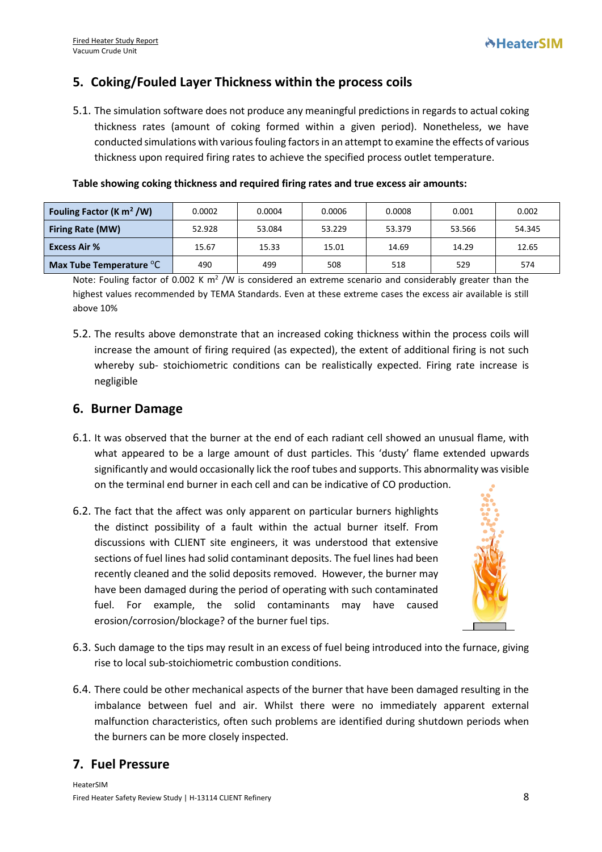# **5. Coking/Fouled Layer Thickness within the process coils**

5.1. The simulation software does not produce any meaningful predictions in regards to actual coking thickness rates (amount of coking formed within a given period). Nonetheless, we have conducted simulations with various fouling factorsin an attempt to examine the effects of various thickness upon required firing rates to achieve the specified process outlet temperature.

| Fouling Factor (K $m^2$ /W)         | 0.0002 | 0.0004 | 0.0006 | 0.0008 | 0.001  | 0.002  |
|-------------------------------------|--------|--------|--------|--------|--------|--------|
| <b>Firing Rate (MW)</b>             | 52.928 | 53.084 | 53.229 | 53.379 | 53.566 | 54.345 |
| <b>Excess Air %</b>                 | 15.67  | 15.33  | 15.01  | 14.69  | 14.29  | 12.65  |
| Max Tube Temperature <sup>o</sup> C | 490    | 499    | 508    | 518    | 529    | 574    |

#### **Table showing coking thickness and required firing rates and true excess air amounts:**

Note: Fouling factor of 0.002 K m<sup>2</sup> /W is considered an extreme scenario and considerably greater than the highest values recommended by TEMA Standards. Even at these extreme cases the excess air available is still above 10%

5.2. The results above demonstrate that an increased coking thickness within the process coils will increase the amount of firing required (as expected), the extent of additional firing is not such whereby sub- stoichiometric conditions can be realistically expected. Firing rate increase is negligible

## **6. Burner Damage**

- 6.1. It was observed that the burner at the end of each radiant cell showed an unusual flame, with what appeared to be a large amount of dust particles. This 'dusty' flame extended upwards significantly and would occasionally lick the roof tubes and supports. This abnormality was visible on the terminal end burner in each cell and can be indicative of CO production.
- 6.2. The fact that the affect was only apparent on particular burners highlights the distinct possibility of a fault within the actual burner itself. From discussions with CLIENT site engineers, it was understood that extensive sections of fuel lines had solid contaminant deposits. The fuel lines had been recently cleaned and the solid deposits removed. However, the burner may have been damaged during the period of operating with such contaminated fuel. For example, the solid contaminants may have caused erosion/corrosion/blockage? of the burner fuel tips.



- 6.3. Such damage to the tips may result in an excess of fuel being introduced into the furnace, giving rise to local sub-stoichiometric combustion conditions.
- 6.4. There could be other mechanical aspects of the burner that have been damaged resulting in the imbalance between fuel and air. Whilst there were no immediately apparent external malfunction characteristics, often such problems are identified during shutdown periods when the burners can be more closely inspected.

# **7. Fuel Pressure**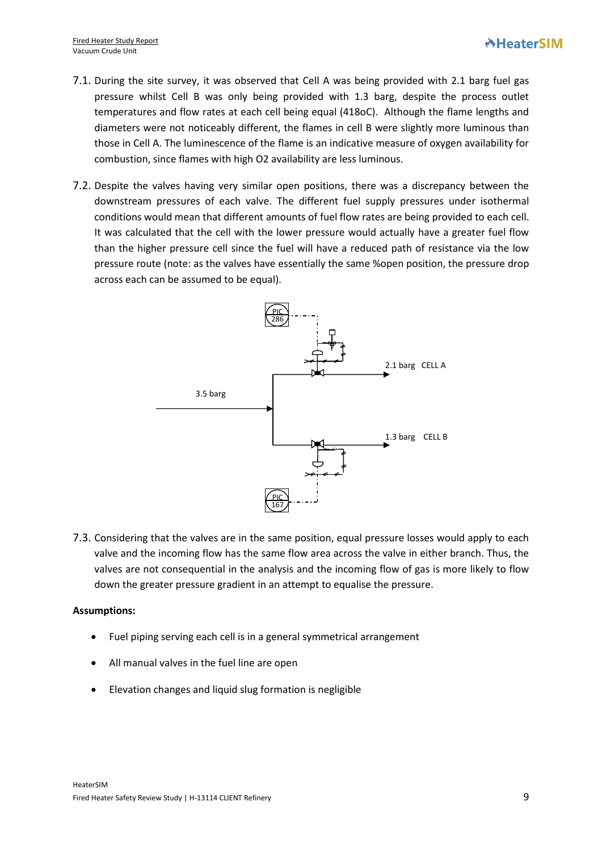- 7.1. During the site survey, it was observed that Cell A was being provided with 2.1 barg fuel gas pressure whilst Cell B was only being provided with 1.3 barg, despite the process outlet temperatures and flow rates at each cell being equal (418oC). Although the flame lengths and diameters were not noticeably different, the flames in cell B were slightly more luminous than those in Cell A. The luminescence of the flame is an indicative measure of oxygen availability for combustion, since flames with high O2 availability are less luminous.
- 7.2. Despite the valves having very similar open positions, there was a discrepancy between the downstream pressures of each valve. The different fuel supply pressures under isothermal conditions would mean that different amounts of fuel flow rates are being provided to each cell. It was calculated that the cell with the lower pressure would actually have a greater fuel flow than the higher pressure cell since the fuel will have a reduced path of resistance via the low pressure route (note: as the valves have essentially the same %open position, the pressure drop across each can be assumed to be equal).



7.3. Considering that the valves are in the same position, equal pressure losses would apply to each valve and the incoming flow has the same flow area across the valve in either branch. Thus, the valves are not consequential in the analysis and the incoming flow of gas is more likely to flow down the greater pressure gradient in an attempt to equalise the pressure.

#### **Assumptions:**

- Fuel piping serving each cell is in a general symmetrical arrangement
- All manual valves in the fuel line are open
- Elevation changes and liquid slug formation is negligible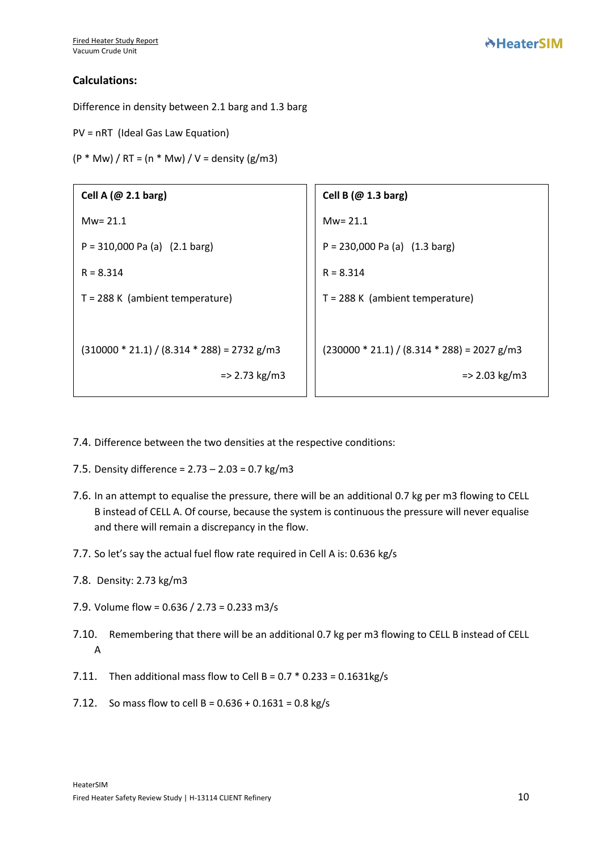#### **Calculations:**

Difference in density between 2.1 barg and 1.3 barg

PV = nRT (Ideal Gas Law Equation)

 $(P * Mw) / RT = (n * Mw) / V = density (g/m3)$ 

| Cell A $(\omega$ 2.1 barg)                    | Cell B $(\omega$ 1.3 barg)                    |
|-----------------------------------------------|-----------------------------------------------|
| $Mw = 21.1$                                   | $Mw = 21.1$                                   |
| $P = 310,000$ Pa (a) $(2.1$ barg)             | $P = 230,000$ Pa (a) $(1.3 \text{ barg})$     |
| $R = 8.314$                                   | $R = 8.314$                                   |
| $T = 288$ K (ambient temperature)             | $T = 288 K$ (ambient temperature)             |
|                                               |                                               |
| $(310000 * 21.1) / (8.314 * 288) = 2732 g/m3$ | $(230000 * 21.1) / (8.314 * 288) = 2027 g/m3$ |
| $=$ 2.73 kg/m3                                | $=$ 2.03 kg/m3                                |
|                                               |                                               |

- 7.4. Difference between the two densities at the respective conditions:
- 7.5. Density difference = 2.73 2.03 = 0.7 kg/m3
- 7.6. In an attempt to equalise the pressure, there will be an additional 0.7 kg per m3 flowing to CELL B instead of CELL A. Of course, because the system is continuous the pressure will never equalise and there will remain a discrepancy in the flow.
- 7.7. So let's say the actual fuel flow rate required in Cell A is: 0.636 kg/s
- 7.8. Density: 2.73 kg/m3
- 7.9. Volume flow = 0.636 / 2.73 = 0.233 m3/s
- 7.10. Remembering that there will be an additional 0.7 kg per m3 flowing to CELL B instead of CELL A
- 7.11. Then additional mass flow to Cell B =  $0.7 * 0.233 = 0.1631 \text{kg/s}$
- 7.12. So mass flow to cell B =  $0.636 + 0.1631 = 0.8$  kg/s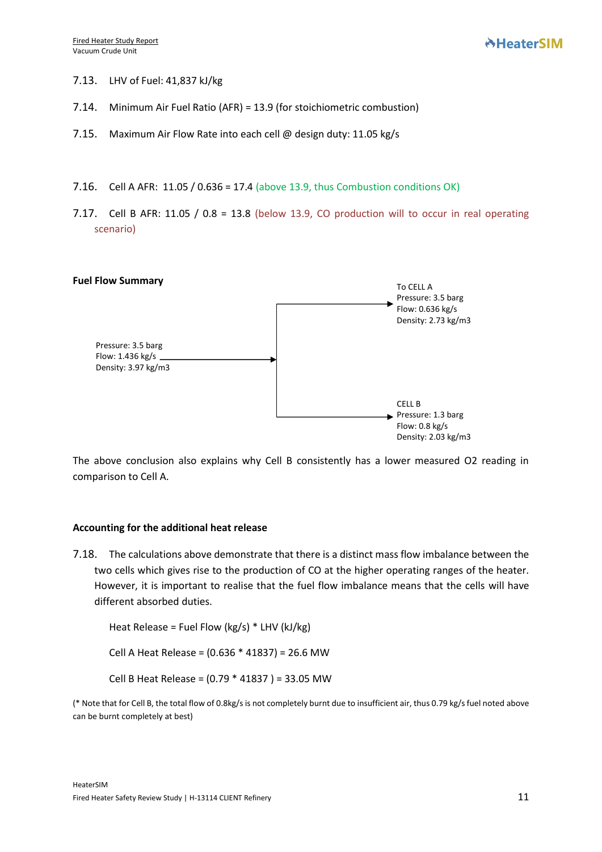- 7.13. LHV of Fuel: 41,837 kJ/kg
- 7.14. Minimum Air Fuel Ratio (AFR) = 13.9 (for stoichiometric combustion)
- 7.15. Maximum Air Flow Rate into each cell @ design duty: 11.05 kg/s
- 7.16. Cell A AFR: 11.05 / 0.636 = 17.4 (above 13.9, thus Combustion conditions OK)
- 7.17. Cell B AFR: 11.05 / 0.8 = 13.8 (below 13.9, CO production will to occur in real operating scenario)



The above conclusion also explains why Cell B consistently has a lower measured O2 reading in comparison to Cell A.

#### **Accounting for the additional heat release**

7.18. The calculations above demonstrate that there is a distinct mass flow imbalance between the two cells which gives rise to the production of CO at the higher operating ranges of the heater. However, it is important to realise that the fuel flow imbalance means that the cells will have different absorbed duties.

Heat Release = Fuel Flow (kg/s) \* LHV (kJ/kg)

Cell A Heat Release = (0.636 \* 41837) = 26.6 MW

Cell B Heat Release = (0.79 \* 41837 ) = 33.05 MW

(\* Note that for Cell B, the total flow of 0.8kg/s is not completely burnt due to insufficient air, thus 0.79 kg/s fuel noted above can be burnt completely at best)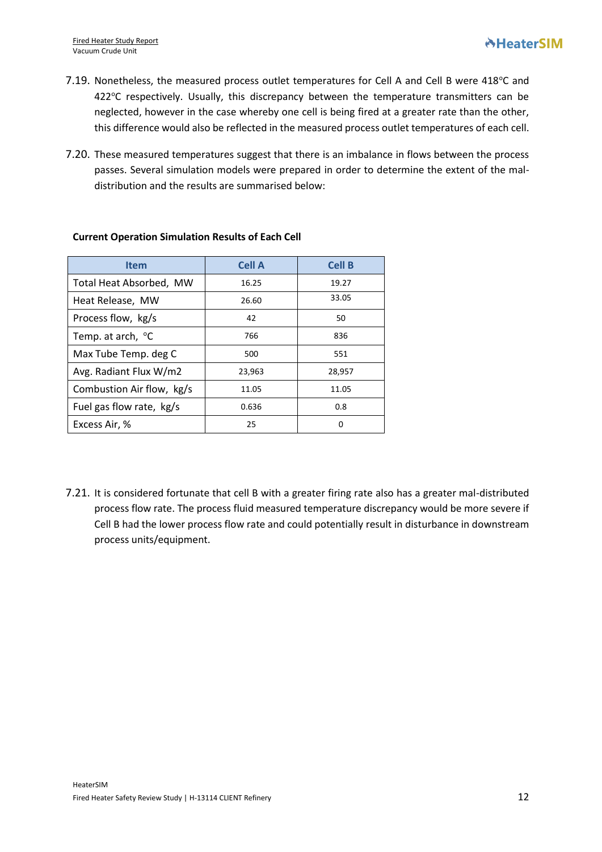- 7.19. Nonetheless, the measured process outlet temperatures for Cell A and Cell B were 418°C and  $422^{\circ}$ C respectively. Usually, this discrepancy between the temperature transmitters can be neglected, however in the case whereby one cell is being fired at a greater rate than the other, this difference would also be reflected in the measured process outlet temperatures of each cell.
- 7.20. These measured temperatures suggest that there is an imbalance in flows between the process passes. Several simulation models were prepared in order to determine the extent of the maldistribution and the results are summarised below:

| <b>Item</b>                   | <b>Cell A</b> | <b>Cell B</b> |
|-------------------------------|---------------|---------------|
| Total Heat Absorbed, MW       | 16.25         | 19.27         |
| Heat Release, MW              | 26.60         | 33.05         |
| Process flow, kg/s            | 42            | 50            |
| Temp. at arch, <sup>o</sup> C | 766           | 836           |
| Max Tube Temp. deg C          | 500           | 551           |
| Avg. Radiant Flux W/m2        | 23,963        | 28,957        |
| Combustion Air flow, kg/s     | 11.05         | 11.05         |
| Fuel gas flow rate, kg/s      | 0.636         | 0.8           |
| Excess Air, %                 | 25            | 0             |

#### **Current Operation Simulation Results of Each Cell**

7.21. It is considered fortunate that cell B with a greater firing rate also has a greater mal-distributed process flow rate. The process fluid measured temperature discrepancy would be more severe if Cell B had the lower process flow rate and could potentially result in disturbance in downstream process units/equipment.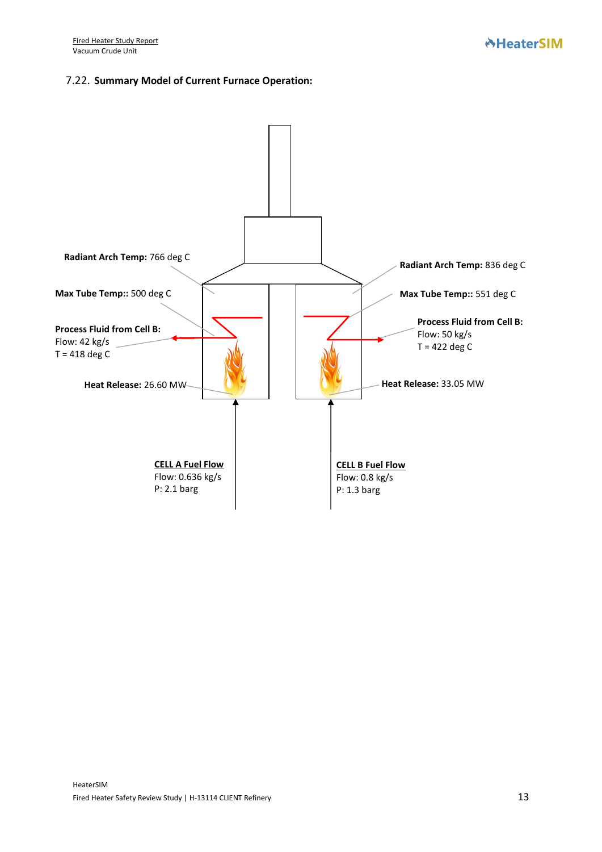#### 7.22. **Summary Model of Current Furnace Operation:**

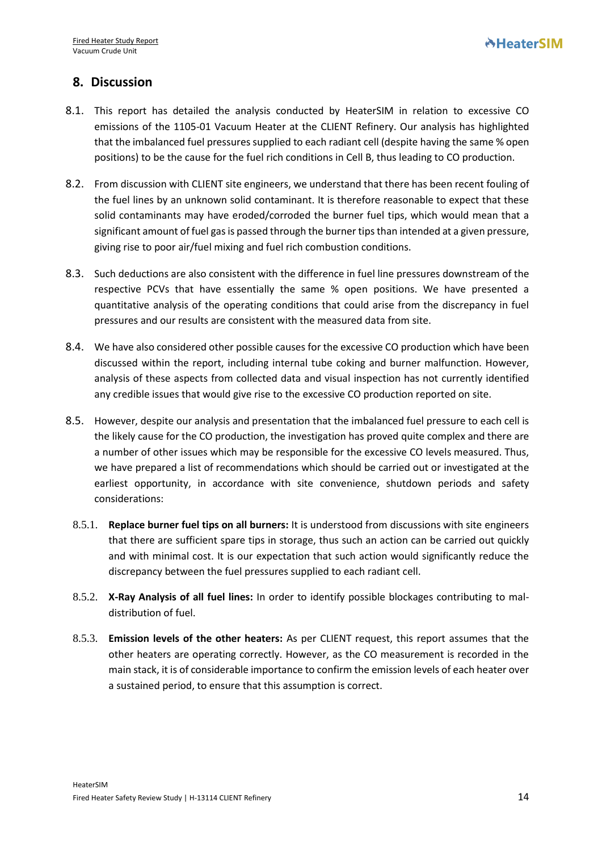# **8. Discussion**

- 8.1. This report has detailed the analysis conducted by HeaterSIM in relation to excessive CO emissions of the 1105-01 Vacuum Heater at the CLIENT Refinery. Our analysis has highlighted that the imbalanced fuel pressures supplied to each radiant cell (despite having the same % open positions) to be the cause for the fuel rich conditions in Cell B, thus leading to CO production.
- 8.2. From discussion with CLIENT site engineers, we understand that there has been recent fouling of the fuel lines by an unknown solid contaminant. It is therefore reasonable to expect that these solid contaminants may have eroded/corroded the burner fuel tips, which would mean that a significant amount of fuel gas is passed through the burner tips than intended at a given pressure, giving rise to poor air/fuel mixing and fuel rich combustion conditions.
- 8.3. Such deductions are also consistent with the difference in fuel line pressures downstream of the respective PCVs that have essentially the same % open positions. We have presented a quantitative analysis of the operating conditions that could arise from the discrepancy in fuel pressures and our results are consistent with the measured data from site.
- 8.4. We have also considered other possible causes for the excessive CO production which have been discussed within the report, including internal tube coking and burner malfunction. However, analysis of these aspects from collected data and visual inspection has not currently identified any credible issues that would give rise to the excessive CO production reported on site.
- 8.5. However, despite our analysis and presentation that the imbalanced fuel pressure to each cell is the likely cause for the CO production, the investigation has proved quite complex and there are a number of other issues which may be responsible for the excessive CO levels measured. Thus, we have prepared a list of recommendations which should be carried out or investigated at the earliest opportunity, in accordance with site convenience, shutdown periods and safety considerations:
	- 8.5.1. **Replace burner fuel tips on all burners:** It is understood from discussions with site engineers that there are sufficient spare tips in storage, thus such an action can be carried out quickly and with minimal cost. It is our expectation that such action would significantly reduce the discrepancy between the fuel pressures supplied to each radiant cell.
	- 8.5.2. **X-Ray Analysis of all fuel lines:** In order to identify possible blockages contributing to maldistribution of fuel.
	- 8.5.3. **Emission levels of the other heaters:** As per CLIENT request, this report assumes that the other heaters are operating correctly. However, as the CO measurement is recorded in the main stack, it is of considerable importance to confirm the emission levels of each heater over a sustained period, to ensure that this assumption is correct.